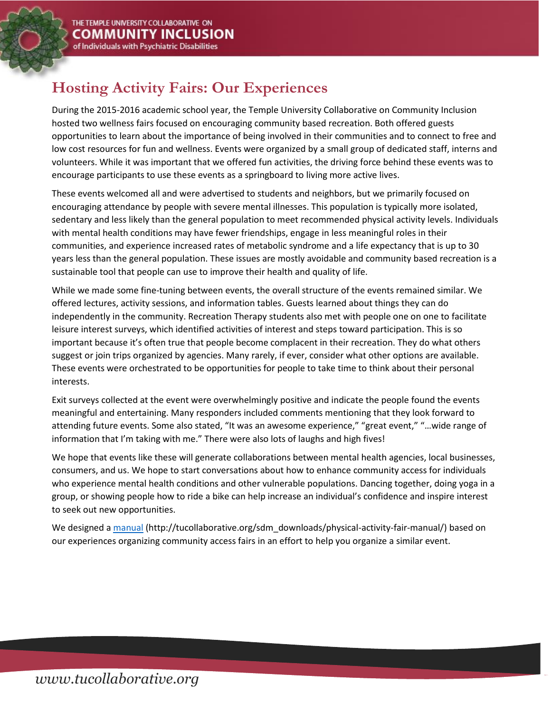## **Hosting Activity Fairs: Our Experiences**

During the 2015-2016 academic school year, the Temple University Collaborative on Community Inclusion hosted two wellness fairs focused on encouraging community based recreation. Both offered guests opportunities to learn about the importance of being involved in their communities and to connect to free and low cost resources for fun and wellness. Events were organized by a small group of dedicated staff, interns and volunteers. While it was important that we offered fun activities, the driving force behind these events was to encourage participants to use these events as a springboard to living more active lives.

These events welcomed all and were advertised to students and neighbors, but we primarily focused on encouraging attendance by people with severe mental illnesses. This population is typically more isolated, sedentary and less likely than the general population to meet recommended physical activity levels. Individuals with mental health conditions may have fewer friendships, engage in less meaningful roles in their communities, and experience increased rates of metabolic syndrome and a life expectancy that is up to 30 years less than the general population. These issues are mostly avoidable and community based recreation is a sustainable tool that people can use to improve their health and quality of life.

While we made some fine-tuning between events, the overall structure of the events remained similar. We offered lectures, activity sessions, and information tables. Guests learned about things they can do independently in the community. Recreation Therapy students also met with people one on one to facilitate leisure interest surveys, which identified activities of interest and steps toward participation. This is so important because it's often true that people become complacent in their recreation. They do what others suggest or join trips organized by agencies. Many rarely, if ever, consider what other options are available. These events were orchestrated to be opportunities for people to take time to think about their personal interests.

Exit surveys collected at the event were overwhelmingly positive and indicate the people found the events meaningful and entertaining. Many responders included comments mentioning that they look forward to attending future events. Some also stated, "It was an awesome experience," "great event," "…wide range of information that I'm taking with me." There were also lots of laughs and high fives!

We hope that events like these will generate collaborations between mental health agencies, local businesses, consumers, and us. We hope to start conversations about how to enhance community access for individuals who experience mental health conditions and other vulnerable populations. Dancing together, doing yoga in a group, or showing people how to ride a bike can help increase an individual's confidence and inspire interest to seek out new opportunities.

We designed a [manual](http://tucollaborative.org/sdm_downloads/physical-activity-fair-manual/) (http://tucollaborative.org/sdm\_downloads/physical-activity-fair-manual/) based on our experiences organizing community access fairs in an effort to help you organize a similar event.